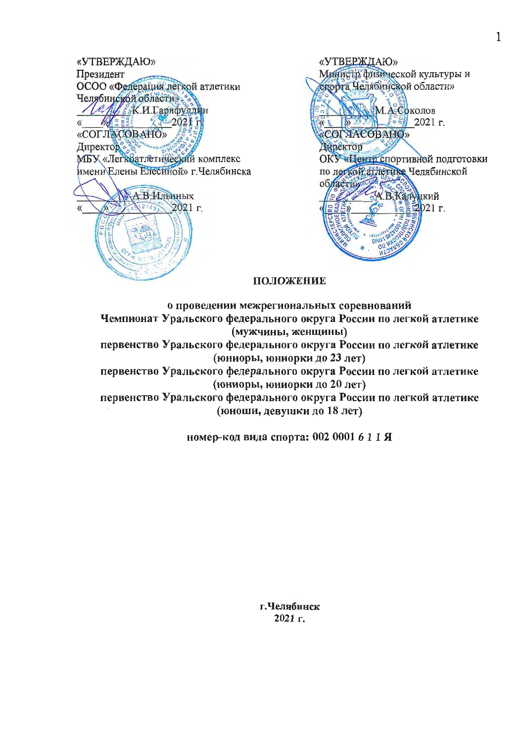«УТВЕРЖДАЮ» Президент ОСОО «Федерация легкой атлетики Челябинской области» La Al SK.H. Lapndyandu  $\langle\langle$ «СОГЛАСОВАНО» Директор МБУ «Легкватлетический комплекс имени Елены Елесиной» г. Челябинска А.В.Ильиных  $2149.$ 2021 г.

«УТВЕРЖДАЮ» Министр физической культуры и спорта Челябинской области» М.А. Соколов **DENER 1999 2021 r.** 好友 COI HACOBAHO» Директор ОКУ «Центр спортивной подготовки по легкой атлетике Челябинской областия АВКатуцкий<br>Северо21 г.

# ПОЛОЖЕНИЕ

о проведении межрегиональных соревнований Чемпионат Уральского федерального округа России по легкой атлетике (мужчины, женщины) первенство Уральского федерального округа России по легкой атдетике (юниоры, юниорки до 23 лет) первенство Уральского федерального округа России по легкой атлетике (юниоры, юниорки до 20 лет) первенство Уральского федерального округа России по легкой атлетике (юноши, девушки до 18 лет)

номер-код вида спорта: 002 0001 6 1 1 Я

г.Челябинск 2021 г.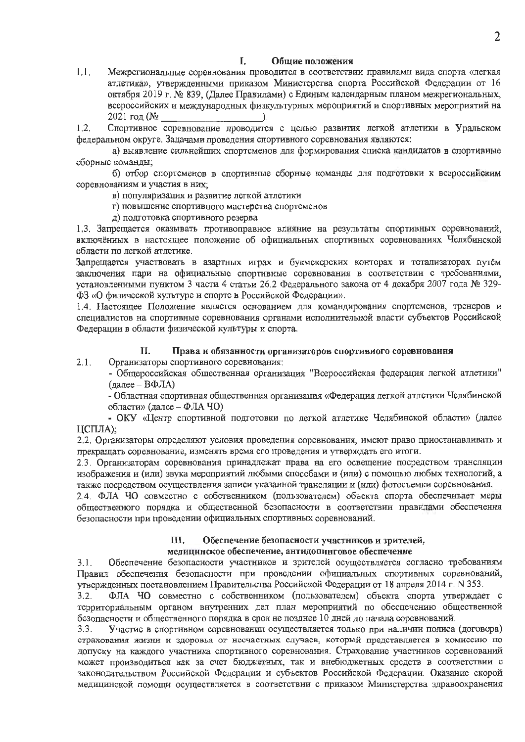#### I. Общие положения

Межрегиональные соревнования проводится в соответствии правилами вида спорта «легкая  $1,1.$ атлетика», утвержденными приказом Министерства спорта Российской Федерации от 16 октября 2019 г. № 839, (Далее Правилами) с Единым календарным планом межрегиональных, всероссийских и международных физкультурных мероприятий и спортивных мероприятий на  $2021$  год ( $\mathcal{N}_2$ D.

Спортивное соревнование проводится с целью развития легкой атлетики в Уральском  $1.2.$ федеральном округе. Задачами проведения спортивного соревнования являются:

а) выявление сильнейших спортсменов для формирования списка кандидатов в спортивные сборные команды;

б) отбор спортсменов в спортивные сборные команды для подготовки к всероссийским соревнованиям и участия в них;

в) популяризация и развитие легкой атлетики

- г) повышение спортивного мастерства спортсменов
- д) подготовка спортивного резерва

1.3. Запрещается оказывать противоправное влияние на результаты спортивных соревнований, включённых в настоящее положение об официальных спортивных соревнованиях Челябинской области по легкой атлетике.

Запрещается участвовать в азартных играх и букмекерских конторах и тотализаторах путём заключения пари на официальные спортивные соревнования в соответствии с требованиями, установленными пунктом 3 части 4 статьи 26.2 Федерального закона от 4 декабря 2007 года № 329-ФЗ «О физической культуре и спорте в Российской Федерации».

1.4. Настоящее Положение является основанием для командирования спортсменов, тренеров и специалистов на спортивные соревнования органами исполнительной власти субъектов Российской Федерации в области физической культуры и спорта.

#### Права и обязанности организаторов спортивиого соревнования II.

 $2.1.$ Организаторы спортивного соревнования:

- Общероссийская общественная организация "Всероссийская федерация легкой атлетики" (далее - ВФЛА)

- Областная спортивная общественная организация «Федерация легкой атлетики Челябинской области» (далсе - ФЛА ЧО)

- ОКУ «Центр спортивной подготовки по легкой атлетике Челябинской области» (далее ЦСПЛА);

2.2. Организаторы определяют условия проведения соревнования, имеют право приостанавливать и прекращать соревнование, изменять время его проведения и утверждать его итоги.

2.3. Организаторам соревнования принадлежат права на его освещение посредством трансляции изображения и (или) звука мероприятий любыми способами и (или) с помощью любых технологий, а также посредством осуществления записи указанной трансляции и (или) фотосъемки соревнования.

2.4. ФЛА ЧО совместно с собственником (пользователем) объекта спорта обеспечивает меры общественного порядка и общественной безопасности в соответствии правидали обеспечения безопасности при проведении официальных спортивных соревнований.

### Обеспечение безопасности участников и зрителей, III. медицинское обеспечение, антидопинговое обеспечение

Обеспечение безопасности участников и зрителей осуществляется согласно требованиям  $3.1.$ Правил обеспечения безопасности при проведении официальных спортивных соревнований, утвержденных постановлением Правительства Российской Федерации от 18 апреля 2014 г. N 353.

ФЛА ЧО совместно с собственником (пользователем) объекта спорта утверждает с  $3.2.$ территориальным органом внутренних дел план мероприятий по обеспечению общественной безопасности и общественного порядка в срок не позднее 10 дней до начала соревнований.

Участие в спортивном соревновании осуществляется только при наличии полиса (договора)  $3.3.$ страхования жизни и здоровья от несчастных случаев, который представляется в комиссию по допуску на каждого участника спортивного соревнования. Страхование участников соревнований может производиться как за счет бюджетных, так и внебюджетных средств в соответствии с законодательством Российской Федерации и субъектов Российской Федерации. Оказание скорой медицинской помощи осуществляется в соответствии с приказом Министерства здравоохранения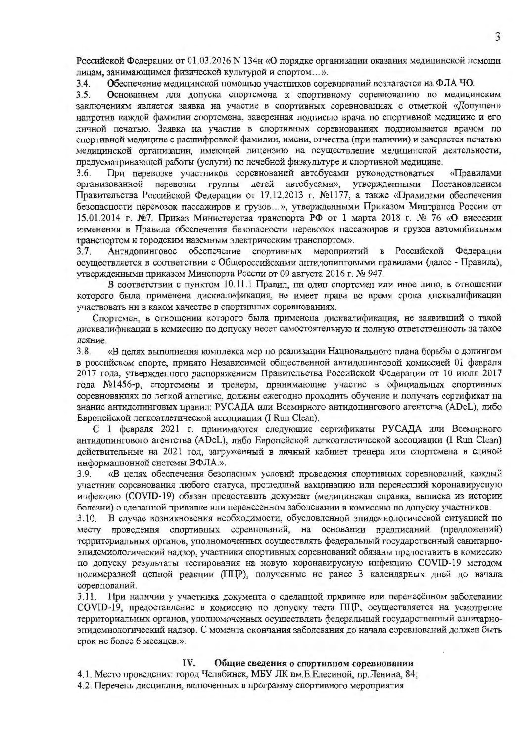Российской Федерации от 01.03.2016 N 134н «О порядке организации оказания медицинской помощи лицам, занимающимся физической культурой и спортом...».

Обеспечение медицинской помощью участников соревнований возлагается на ФЛА ЧО.  $3.4.$ 

Основанием для допуска спортсмена к спортивному соревнованию по медицинским  $3.5.$ заключениям является заявка на участие в спортивных соревнованиях с отметкой «Допущен» напротив каждой фамилии спортсмена, заверенная подписью врача по спортивной медицине и его личной печатью. Заявка на участие в спортивных соревнованиях подписывается врачом по спортивной медицине с расшифровкой фамилии, имени, отчества (при наличии) и заверяется печатью медицинской организации, имеющей лицензию на осуществление медицинской деятельности, предусматривающей работы (услуги) по лечебной физкультуре и спортивной медицине.

3.6. При перевозке участников соревнований автобусами руководствоваться «Правилами детей автобусами», утвержденными Постановлением организованной перевозки группы Правительства Российской Федерации от 17.12.2013 г. №1177, а также «Правилами обеспечения безопасности перевозок пассажиров и грузов...», утвержденными Приказом Минтранса России от 15.01.2014 г. №7. Приказ Министерства транспорта РФ от 1 марта 2018 г. № 76 «О внесении изменения в Правила обеспечения безопасности перевозок пассажиров и грузов автомобильным транспортом и городским наземным электрическим транспортом».

Антидопинговое обеспечение спортивных мероприятий в Российской Федерации  $3.7.$ осуществляется в соответствии с Общероссийскими антидопинговыми правилами (далее - Правила), ∨твержденными приказом Минспорта России от 09 августа 2016 г. № 947.

В соответствии с пунктом 10.11.1 Правил, ни один спортсмен или иное лицо, в отношении которого была применена дисквалификация, не имеет права во время срока дисквалификации участвовать ни в каком качестве в спортивных соревнованиях.

Спортсмен, в отношении которого была применена дисквалификация, не заявивший о такой дисквалификации в комиссию по допуску несет самостоятельную и полную ответственность за такое деяние.

«В целях выполнения комплекса мер по реализации Национального плана борьбы с допингом  $3.8.$ в российском спорте, принято Независимой общественной антидопинговой комиссией 01 февраля 2017 года, утвержденного распоряжением Правительства Российской Федерации от 10 июля 2017 года №1456-р, спортсмены и тренеры, принимающие участие в официальных спортивных соревнованиях по легкой атлетике, должны ежегодно проходить обучение и получать сертификат на знание антидопинговых правил: РУСАДА или Всемирного антидопингового агентства (ADeL), либо Европейской легкоатлетической ассоциации (I Run Clean).

С 1 февраля 2021 г. принимаются следующие сертификаты РУСАДА или Всемирного антидопингового агентства (ADeL), либо Европейской легкоатлетической ассоциации (I Run Clean) действительные на 2021 год, загруженный в личный кабинет тренера или спортсмена в единой информационной системы ВФЛА.».

«В целях обеспечения безопасных условий проведения спортивных соревнований, каждый 3.9. участник соревнования любого статуса, прошедший вакцинацию или перенесший коронавирусную инфекцию (COVID-19) обязан предоставить документ (медицинская справка, выписка из истории болезни) о сделанной прививке или перенесенном заболевании в комиссию по допуску участников.

В случае возникновения необходимости, обусловленной эпидемиологической ситуацией по  $3.10.$ месту проведения спортивных соревнований, на основании предписаний (предложений) территориальных органов, уполномоченных осуществлять федеральный государственный санитарноэпидемиологический надзор, участники спортивных соревнований обязаны предоставить в комиссию по допуску результаты тестирования на новую коронавирусную инфекцию COVID-19 методом полимеразной цепной реакции (ПЦР), полученные не ранее 3 календарных дней до начала соревнований.

При наличии у участника документа о сделанной прививке или перенесённом заболевании  $3.11.$ COVID-19, предоставление в комиссию по допуску теста ПЦР, осуществляется на усмотрение территориальных органов, уполномоченных осуществлять федеральный государственный санитарноэпидемиологический надзор. С момента окончания заболевания до начала соревнований должен быть срок не более 6 месяцев.».

#### IV. Общие сведения о спортивном соревиовании

4.1. Место проведения: город Челябинск, МБУ ЛК им. Е. Елесиной, пр. Ленина, 84;

4.2. Перечень дисциплин, включенных в программу спортивного мероприятия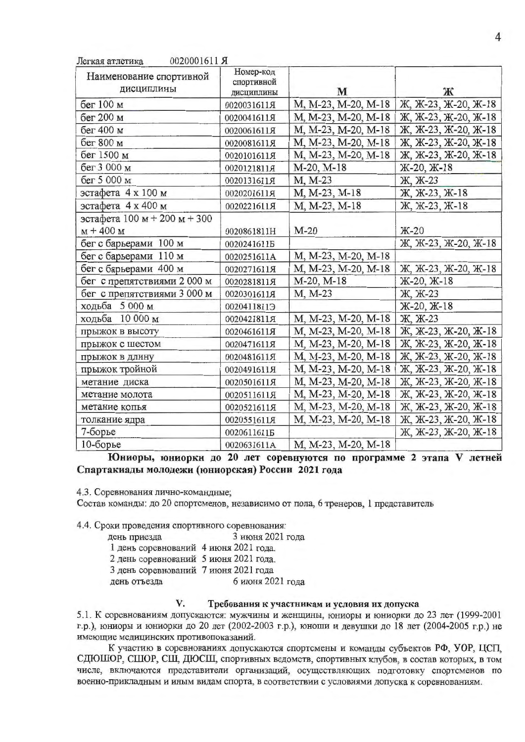| Наименование спортивной<br>дисциплины | Номер-код<br>спортивной<br>дисциплины | M                   | Ж                    |  |  |  |
|---------------------------------------|---------------------------------------|---------------------|----------------------|--|--|--|
| бег 100 м                             | 0020031611Я                           | M, M-23, M-20, M-18 | Ж, Ж-23, Ж-20, Ж-18  |  |  |  |
| бег 200 м                             | 0020041611Я                           | M, M-23, M-20, M-18 | Ж, Ж-23, Ж-20, Ж-18  |  |  |  |
| бег 400 м                             | 0020061611A                           | M, M-23, M-20, M-18 | Ж, Ж-23, Ж-20, Ж-18  |  |  |  |
| бег 800 м                             | 0020081611月                           | M, M-23, M-20, M-18 | Ж., Ж-23, Ж-20, Ж-18 |  |  |  |
| бег 1500 м                            | 0020101611Я                           | M, M-23, M-20, M-18 | Ж, Ж-23, Ж-20, Ж-18  |  |  |  |
| бег 3 000 м                           | 0020121811Я                           | M-20, M-18          | Ж-20, Ж-18           |  |  |  |
| бег 5 000 м                           | 0020131611月                           | M, M-23             | Ж., Ж-23             |  |  |  |
| эстафета 4 х 100 м                    | 0020201611Я                           | M, M-23, M-18       | Ж., Ж-23, Ж-18       |  |  |  |
| эстафета 4 х 400 м                    | 0020221611Я                           | M, M-23, M-18       | Ж, Ж-23, Ж-18        |  |  |  |
| эстафета 100 м + 200 м + 300          |                                       |                     |                      |  |  |  |
| $M + 400 M$                           | 0020861811H                           | $M-20$              | $K-20$               |  |  |  |
| бег с барьерами 100 м                 | 00202416115                           |                     | Ж, Ж-23, Ж-20, Ж-18  |  |  |  |
| бег с барьерами 110 м                 | 0020251611A                           | M, M-23, M-20, M-18 |                      |  |  |  |
| бег с барьерами 400 м                 | 0020271611Я                           | M, M-23, M-20, M-18 | Ж., Ж-23, Ж-20, Ж-18 |  |  |  |
| бег с препятствиями 2 000 м           | 0020281811月                           | M-20, M-18          | Ж-20, Ж-18           |  |  |  |
| бег с препятствиями 3 000 м           | 0020301611Я                           | M, M-23             | Ж, Ж-23              |  |  |  |
| ходьба 5 000 м                        | 0020411811Э                           |                     | Ж-20, Ж-18           |  |  |  |
| ходьба 10 000 м                       | 0020421811月                           | M, M-23, M-20, M-18 | Ж. Ж-23              |  |  |  |
| прыжок в высоту                       | 0020461611Я                           | M, M-23, M-20, M-18 | Ж, Ж-23, Ж-20, Ж-18  |  |  |  |
| прыжок с шестом                       | 0020471611Я                           | M, M-23, M-20, M-18 | Ж, Ж-23, Ж-20, Ж-18  |  |  |  |
| прыжок в длину                        | 0020481611月                           | M, M-23, M-20, M-18 | Ж, Ж-23, Ж-20, Ж-18  |  |  |  |
| прыжок тройной                        | 0020491611Я                           | M, M-23, M-20, M-18 | Ж, Ж-23, Ж-20, Ж-18  |  |  |  |
| метание диска                         | 0020501611A                           | M, M-23, M-20, M-18 | Ж., Ж-23, Ж-20, Ж-18 |  |  |  |
| метание молота                        | 0020511611Я                           | M, M-23, M-20, M-18 | Ж, Ж-23, Ж-20, Ж-18  |  |  |  |
| метание копья                         | 0020521611Я                           | M, M-23, M-20, M-18 | Ж, Ж-23, Ж-20, Ж-18  |  |  |  |
| толкание ядра                         | 0020551611Я                           | M, M-23, M-20, M-18 | Ж, Ж-23, Ж-20, Ж-18  |  |  |  |
| 7-борье                               | 00206116115                           |                     | Ж, Ж-23, Ж-20, Ж-18  |  |  |  |
| 10-борье                              | 0020631611A                           | M, M-23, M-20, M-18 |                      |  |  |  |

Юниоры, юниоркн до 20 лет соревнуются по программе 2 этапа V летней Спартакиады молодежи (юниорская) России 2021 года

4.3. Соревнования лично-командные;

Состав команды: до 20 спортсменов, независимо от пола, 6 тренеров, 1 представитель

4.4. Сроки проведения спортивного соревнования:

V.

- день приезда 3 июня 2021 года
- 1 день соревнований 4 июня 2021 года.

 $00000017117$ 

- 2 день соревнований 5 июня 2021 года.
- 3 день соревнований 7 июня 2021 года

день отъезда 6 июня 2021 года

## Требования к участникам и условия их допуска

5.1. К соревнованиям допускаются: мужчины и женщины, юниоры и юниорки до 23 лет (1999-2001 г.р.), юниоры и юниорки до 20 лет (2002-2003 г.р.), юноши и девушки до 18 лет (2004-2005 г.р.) не имеющие медицинских противопоказаний.

К участию в соревнованиях допускаются спортсмены и команды субъектов РФ, УОР, ЦСП, СДЮШОР, СШОР, СШ, ДЮСШ, спортивных ведомств, спортивных клубов, в состав которых, в том числе, включаются представители организаций, осуществляющих подготовку спортсменов по военно-прикладным и иным видам спорта, в соответствии с условиями допуска к соревнованиям.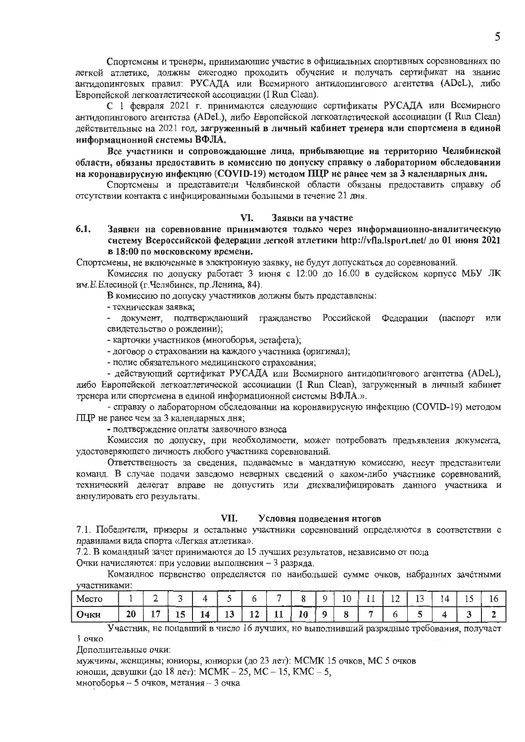Спортсмены и тренеры, принимающие участие в официальных спортивных соревнованиях по легкой атлетике, должны ежегодно проходить обучение и получать сертификат на знание антидопинговых правил: РУСАДА или Всемирного антидопингового агентства (ADeL), либо Европейской легкоатлетической ассоциации (I Run Clean).

С 1 февраля 2021 г. принимаются следующие сертификаты РУСАДА или Всемирного антидопингового агентства (ADeL), либо Европейской легкоатлетической ассоциации (I Run Clean) действительные на 2021 год, загруженный в личный кабинет тренера или спортсмена в единой информационной системы ВФЛА.

Все участники и сопровождающие лица, прибывающие на территорию Челябинской области, обязаны предоставить в комиссию по допуску справку о лабораториом обследовании на коронавирусную инфекцию (COVID-19) методом ПЦР не ранее чем за 3 календарных дня.

Спортсмены и представители Челябинской области обязаны предоставить справку об отсутствии контакта с инфицированными больными в течение 21 дня.

#### VI. Заявки на участие

6.1. Заявки на соревнование принимаются только через информационно-аналитическую систему Всероссийской федерации легкой атлетики http://vfla.lsport.net/ до 01 июня 2021 в 18:00 по московскому времени.

Спортсмены, не включенные в электронную заявку, не будут допускаться до соревнований.

Комиссия по допуску работает 3 июня с 12:00 до 16.00 в судейском корпусе МБУ ЛК им. Е. Елесиной (г. Челябинск, пр. Ленина, 84).

В комиссию по допуску участников должны быть представлены:

- техническая заявка;

- документ, подтверждающий гражданство Российской Федерации (паспорт или свидетельство о рождении);

- карточки участников (многоборья, эстафета);

- договор о страховании на каждого участника (оригинал);

- полис обязательного медицинского страхования;

- действующий сертификат РУСАДА или Всемирного антидопингового агентства (ADeL), либо Европейской легкоатлетической ассоциации (I Run Clean), загруженный в личный кабинет тренера или спортсмена в единой информационной системы ВФЛА.».

- справку о лабораторном обследовании на коронавирусную инфекцию (COVID-19) методом ПЦР не ранее чем за 3 календарных дня;

- подтверждение оплаты заявочного взноса

Комиссия по допуску, при необходимости, может потребовать предъявления документа, удостоверяющего личность любого участника соревнований.

Ответственность за сведения, подаваемые в мандатную комиссию, несут представители команд. В случае подачи заведомо неверных сведений о каком-либо участнике соревнований, технический делегат вправе не допустить или дисквалифицировать данного участника и аннулировать его результаты.

#### VII. Условия подведения итогов

7.1. Победители, призеры и остальные участники соревнований определяются в соответствии с правилами вида спорта «Легкая атлетика».

7.2. В командный зачет принимаются до 15 лучших результатов, независимо от пола

Очки начисляются: при условии выполнения - 3 разряда.

Командное первенство определяется по наибольшей сумме очков, набранных зачётными участниками:

| Mectu |    |     |           |          |                      |    | ---         |    |   | 10 | . . | $\mathbf{A}$<br>ᅭ | ---<br>. .<br>$\sim$ | $\Delta$ | -- |  |
|-------|----|-----|-----------|----------|----------------------|----|-------------|----|---|----|-----|-------------------|----------------------|----------|----|--|
| Очки  | 20 | . . | - -<br>⊥⊷ | ıа<br>ᅩℸ | $\overline{ }$<br>19 | 14 | <b>J.J.</b> | 10 | u |    |     |                   |                      |          |    |  |

Участник, не попавший в число 16 лучших, но выполнивший разрядные требования, получает 1 очко.

Дополнительные очки:

мужчины, женщины; юниоры, юниорки (до 23 лет): МСМК 15 очков, МС 5 очков юноши, девушки (до 18 лет): МСМК - 25, МС - 15, КМС - 5,